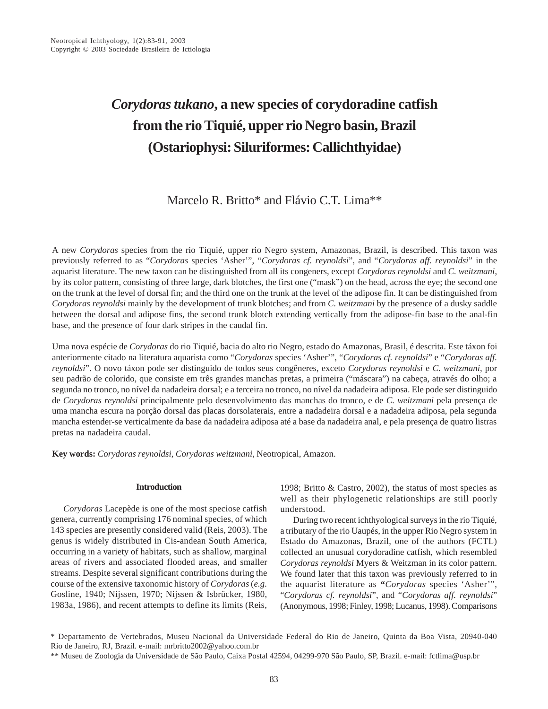# *Corydoras tukano***, a new species of corydoradine catfish from the rio Tiquié, upper rio Negro basin, Brazil (Ostariophysi: Siluriformes: Callichthyidae)**

# Marcelo R. Britto\* and Flávio C.T. Lima\*\*

A new *Corydoras* species from the rio Tiquié, upper rio Negro system, Amazonas, Brazil, is described. This taxon was previously referred to as "*Corydoras* species 'Asher'", "*Corydoras cf. reynoldsi*", and "*Corydoras aff. reynoldsi*" in the aquarist literature. The new taxon can be distinguished from all its congeners, except *Corydoras reynoldsi* and *C. weitzmani*, by its color pattern, consisting of three large, dark blotches, the first one ("mask") on the head, across the eye; the second one on the trunk at the level of dorsal fin; and the third one on the trunk at the level of the adipose fin. It can be distinguished from *Corydoras reynoldsi* mainly by the development of trunk blotches; and from *C. weitzmani* by the presence of a dusky saddle between the dorsal and adipose fins, the second trunk blotch extending vertically from the adipose-fin base to the anal-fin base, and the presence of four dark stripes in the caudal fin.

Uma nova espécie de *Corydoras* do rio Tiquié, bacia do alto rio Negro, estado do Amazonas, Brasil, é descrita. Este táxon foi anteriormente citado na literatura aquarista como "*Corydoras* species 'Asher'", "*Corydoras cf. reynoldsi*" e "*Corydoras aff. reynoldsi*". O novo táxon pode ser distinguido de todos seus congêneres, exceto *Corydoras reynoldsi* e *C. weitzmani*, por seu padrão de colorido, que consiste em três grandes manchas pretas, a primeira ("máscara") na cabeça, através do olho; a segunda no tronco, no nível da nadadeira dorsal; e a terceira no tronco, no nível da nadadeira adiposa. Ele pode ser distinguido de *Corydoras reynoldsi* principalmente pelo desenvolvimento das manchas do tronco, e de *C. weitzmani* pela presença de uma mancha escura na porção dorsal das placas dorsolaterais, entre a nadadeira dorsal e a nadadeira adiposa, pela segunda mancha estender-se verticalmente da base da nadadeira adiposa até a base da nadadeira anal, e pela presença de quatro listras pretas na nadadeira caudal.

**Key words:** *Corydoras reynoldsi, Corydoras weitzmani*, Neotropical, Amazon.

### **Introduction**

*Corydoras* Lacepède is one of the most speciose catfish genera, currently comprising 176 nominal species, of which 143 species are presently considered valid (Reis, 2003). The genus is widely distributed in Cis-andean South America, occurring in a variety of habitats, such as shallow, marginal areas of rivers and associated flooded areas, and smaller streams. Despite several significant contributions during the course of the extensive taxonomic history of *Corydoras* (*e.g.* Gosline, 1940; Nijssen, 1970; Nijssen & Isbrücker, 1980, 1983a, 1986), and recent attempts to define its limits (Reis,

1998; Britto & Castro, 2002), the status of most species as well as their phylogenetic relationships are still poorly understood.

During two recent ichthyological surveys in the rio Tiquié, a tributary of the rio Uaupés, in the upper Rio Negro system in Estado do Amazonas, Brazil, one of the authors (FCTL) collected an unusual corydoradine catfish, which resembled *Corydoras reynoldsi* Myers & Weitzman in its color pattern. We found later that this taxon was previously referred to in the aquarist literature as **"***Corydoras* species 'Asher'", "*Corydoras cf. reynoldsi*", and "*Corydoras aff. reynoldsi*" (Anonymous, 1998; Finley, 1998; Lucanus, 1998). Comparisons

<sup>\*</sup> Departamento de Vertebrados, Museu Nacional da Universidade Federal do Rio de Janeiro, Quinta da Boa Vista, 20940-040 Rio de Janeiro, RJ, Brazil. e-mail: mrbritto2002@yahoo.com.br

<sup>\*\*</sup> Museu de Zoologia da Universidade de São Paulo, Caixa Postal 42594, 04299-970 São Paulo, SP, Brazil. e-mail: fctlima@usp.br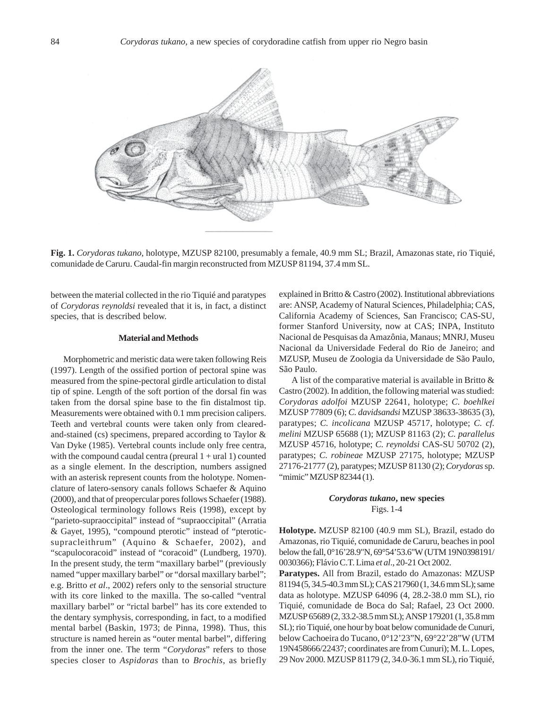

**Fig. 1.** *Corydoras tukano*, holotype, MZUSP 82100, presumably a female, 40.9 mm SL; Brazil, Amazonas state, rio Tiquié, comunidade de Caruru. Caudal-fin margin reconstructed from MZUSP 81194, 37.4 mm SL.

between the material collected in the rio Tiquié and paratypes of *Corydoras reynoldsi* revealed that it is, in fact, a distinct species, that is described below.

### **Material and Methods**

Morphometric and meristic data were taken following Reis (1997). Length of the ossified portion of pectoral spine was measured from the spine-pectoral girdle articulation to distal tip of spine. Length of the soft portion of the dorsal fin was taken from the dorsal spine base to the fin distalmost tip. Measurements were obtained with 0.1 mm precision calipers. Teeth and vertebral counts were taken only from clearedand-stained (cs) specimens, prepared according to Taylor & Van Dyke (1985). Vertebral counts include only free centra, with the compound caudal centra (preural  $1 +$ ural  $1$ ) counted as a single element. In the description, numbers assigned with an asterisk represent counts from the holotype. Nomenclature of latero-sensory canals follows Schaefer & Aquino (2000), and that of preopercular pores follows Schaefer (1988). Osteological terminology follows Reis (1998), except by "parieto-supraoccipital" instead of "supraoccipital" (Arratia & Gayet, 1995), "compound pterotic" instead of "pteroticsupracleithrum" (Aquino & Schaefer, 2002), and "scapulocoracoid" instead of "coracoid" (Lundberg, 1970). In the present study, the term "maxillary barbel" (previously named "upper maxillary barbel" or "dorsal maxillary barbel"; e.g. Britto *et al*., 2002) refers only to the sensorial structure with its core linked to the maxilla. The so-called "ventral maxillary barbel" or "rictal barbel" has its core extended to the dentary symphysis, corresponding, in fact, to a modified mental barbel (Baskin, 1973; de Pinna, 1998). Thus, this structure is named herein as "outer mental barbel", differing from the inner one. The term "*Corydoras*" refers to those species closer to *Aspidoras* than to *Brochis*, as briefly

explained in Britto & Castro (2002). Institutional abbreviations are: ANSP, Academy of Natural Sciences, Philadelphia; CAS, California Academy of Sciences, San Francisco; CAS-SU, former Stanford University, now at CAS; INPA, Instituto Nacional de Pesquisas da Amazônia, Manaus; MNRJ, Museu Nacional da Universidade Federal do Rio de Janeiro; and MZUSP, Museu de Zoologia da Universidade de São Paulo, São Paulo.

A list of the comparative material is available in Britto & Castro (2002). In addition, the following material was studied: *Corydoras adolfoi* MZUSP 22641, holotype; *C. boehlkei* MZUSP 77809 (6); *C. davidsandsi* MZUSP 38633-38635 (3), paratypes; *C. incolicana* MZUSP 45717, holotype; *C. cf. melini* MZUSP 65688 (1); MZUSP 81163 (2); *C. parallelus* MZUSP 45716, holotype; *C. reynoldsi* CAS-SU 50702 (2), paratypes; *C. robineae* MZUSP 27175, holotype; MZUSP 27176-21777 (2), paratypes; MZUSP 81130 (2); *Corydoras* sp. "mimic" MZUSP 82344 (1).

# *Corydoras tukano***, new species** Figs. 1-4

**Holotype.** MZUSP 82100 (40.9 mm SL), Brazil, estado do Amazonas, rio Tiquié, comunidade de Caruru, beaches in pool below the fall, 0°16'28.9"N, 69°54'53.6"W (UTM 19N0398191/ 0030366); Flávio C.T. Lima *et al*., 20-21 Oct 2002.

**Paratypes.** All from Brazil, estado do Amazonas: MZUSP 81194 (5, 34.5-40.3 mm SL); CAS 217960 (1, 34.6 mm SL); same data as holotype. MZUSP 64096 (4, 28.2-38.0 mm SL), rio Tiquié, comunidade de Boca do Sal; Rafael, 23 Oct 2000. MZUSP 65689 (2, 33.2-38.5 mm SL); ANSP 179201 (1, 35.8 mm SL); rio Tiquié, one hour by boat below comunidade de Cunuri, below Cachoeira do Tucano, 0°12'23"N, 69°22'28"W (UTM 19N458666/22437; coordinates are from Cunuri); M. L. Lopes, 29 Nov 2000. MZUSP 81179 (2, 34.0-36.1 mm SL), rio Tiquié,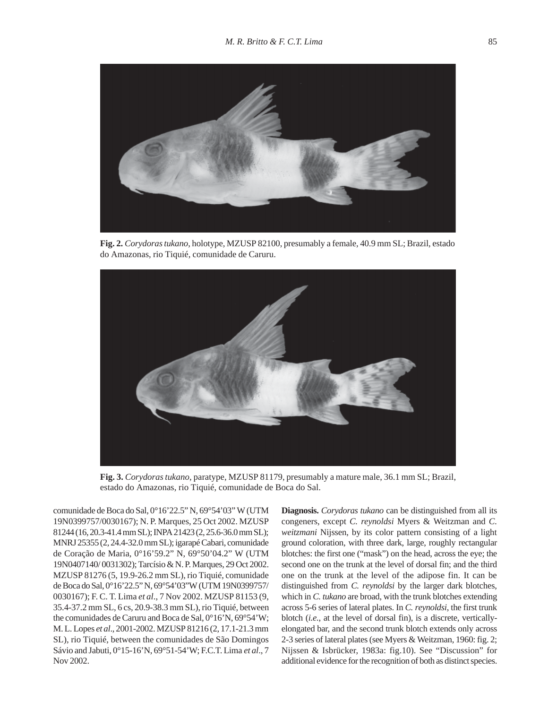![](_page_2_Picture_1.jpeg)

**Fig. 2.** *Corydoras tukano*, holotype, MZUSP 82100, presumably a female, 40.9 mm SL; Brazil, estado do Amazonas, rio Tiquié, comunidade de Caruru.

![](_page_2_Picture_3.jpeg)

**Fig. 3.** *Corydoras tukano*, paratype, MZUSP 81179, presumably a mature male, 36.1 mm SL; Brazil, estado do Amazonas, rio Tiquié, comunidade de Boca do Sal.

comunidade de Boca do Sal, 0°16'22.5" N, 69°54'03" W (UTM 19N0399757/0030167); N. P. Marques, 25 Oct 2002. MZUSP 81244 (16, 20.3-41.4 mm SL); INPA 21423 (2, 25.6-36.0 mm SL); MNRJ 25355 (2, 24.4-32.0 mm SL); igarapé Cabari, comunidade de Coração de Maria, 0°16'59.2" N, 69°50'04.2" W (UTM 19N0407140/ 0031302); Tarcísio & N. P. Marques, 29 Oct 2002. MZUSP 81276 (5, 19.9-26.2 mm SL), rio Tiquié, comunidade de Boca do Sal, 0°16'22.5" N, 69°54'03"W (UTM 19N0399757/ 0030167); F. C. T. Lima *et al*., 7 Nov 2002. MZUSP 81153 (9, 35.4-37.2 mm SL, 6 cs, 20.9-38.3 mm SL), rio Tiquié, between the comunidades de Caruru and Boca de Sal, 0°16'N, 69°54'W; M. L. Lopes *et al*., 2001-2002. MZUSP 81216 (2, 17.1-21.3 mm SL), rio Tiquié, between the comunidades de São Domingos Sávio and Jabuti, 0°15-16'N, 69°51-54'W; F.C.T. Lima *et al*., 7 Nov 2002.

**Diagnosis.** *Corydoras tukano* can be distinguished from all its congeners, except *C. reynoldsi* Myers & Weitzman and *C. weitzmani* Nijssen, by its color pattern consisting of a light ground coloration, with three dark, large, roughly rectangular blotches: the first one ("mask") on the head, across the eye; the second one on the trunk at the level of dorsal fin; and the third one on the trunk at the level of the adipose fin. It can be distinguished from *C. reynoldsi* by the larger dark blotches, which in *C. tukano* are broad, with the trunk blotches extending across 5-6 series of lateral plates. In *C. reynoldsi*, the first trunk blotch (*i.e.*, at the level of dorsal fin), is a discrete, verticallyelongated bar, and the second trunk blotch extends only across 2-3 series of lateral plates (see Myers & Weitzman, 1960: fig. 2; Nijssen & Isbrücker, 1983a: fig.10). See "Discussion" for additional evidence for the recognition of both as distinct species.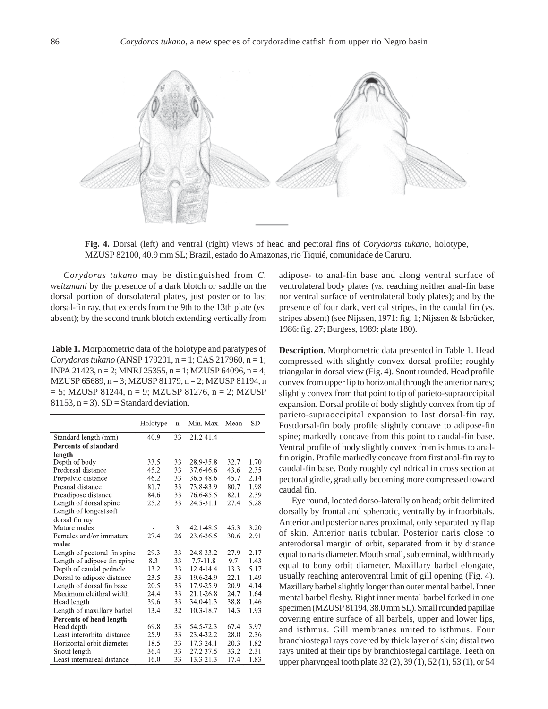![](_page_3_Figure_1.jpeg)

**Fig. 4.** Dorsal (left) and ventral (right) views of head and pectoral fins of *Corydoras tukano*, holotype, MZUSP 82100, 40.9 mm SL; Brazil, estado do Amazonas, rio Tiquié, comunidade de Caruru.

*Corydoras tukano* may be distinguished from *C. weitzmani* by the presence of a dark blotch or saddle on the dorsal portion of dorsolateral plates, just posterior to last dorsal-fin ray, that extends from the 9th to the 13th plate (*vs.* absent); by the second trunk blotch extending vertically from

**Table 1.** Morphometric data of the holotype and paratypes of *Corydoras tukano* (ANSP 179201, n = 1; CAS 217960, n = 1; INPA 21423,  $n = 2$ ; MNRJ 25355,  $n = 1$ ; MZUSP 64096,  $n = 4$ ; MZUSP 65689, n = 3; MZUSP 81179, n = 2; MZUSP 81194, n  $= 5$ ; MZUSP 81244, n = 9; MZUSP 81276, n = 2; MZUSP 81153,  $n = 3$ ). SD = Standard deviation.

|                              | Holotype | $\mathbf n$ | Min.-Max.    | Mean | <b>SD</b> |
|------------------------------|----------|-------------|--------------|------|-----------|
| Standard length (mm)         | 40.9     | 33          | 21.2-41.4    |      |           |
| <b>Percents of standard</b>  |          |             |              |      |           |
| length                       |          |             |              |      |           |
| Depth of body                | 33.5     | 33          | 28.9-35.8    | 32.7 | 1.70      |
| Predorsal distance           | 45.2     | 33          | 37.6-46.6    | 43.6 | 2.35      |
| Prepelvic distance           | 46.2     | 33          | 36.5-48.6    | 45.7 | 2.14      |
| Preanal distance             | 81.7     | 33          | 73.8-83.9    | 80.7 | 1.98      |
| Preadipose distance          | 84.6     | 33          | 76.6-85.5    | 82.1 | 2.39      |
| Length of dorsal spine       | 25.2     | 33          | 24.5-31.1    | 27.4 | 5.28      |
| Length of longest soft       |          |             |              |      |           |
| dorsal fin ray               |          |             |              |      |           |
| Mature males                 |          | 3           | 42.1-48.5    | 45.3 | 3.20      |
| Females and/or immature      | 27.4     | 26          | 23.6-36.5    | 30.6 | 2.91      |
| males                        |          |             |              |      |           |
| Length of pectoral fin spine | 29.3     | 33          | 24.8-33.2    | 27.9 | 2.17      |
| Length of adipose fin spine  | 8.3      | 33          | $7.7 - 11.8$ | 9.7  | 1.43      |
| Depth of caudal peducle      | 13.2     | 33          | 12.4-14.4    | 13.3 | 5.17      |
| Dorsal to adipose distance   | 23.5     | 33          | 19.6-24.9    | 22.1 | 1.49      |
| Length of dorsal fin base    | 20.5     | 33          | 17.9-25.9    | 20.9 | 4.14      |
| Maximum cleithral width      | 24.4     | 33          | 21.1-26.8    | 24.7 | 1.64      |
| Head length                  | 39.6     | 33          | 34.0-41.3    | 38.8 | 1.46      |
| Length of maxillary barbel   | 13.4     | 32          | 10.3-18.7    | 14.3 | 1.93      |
| Percents of head length      |          |             |              |      |           |
| Head depth                   | 69.8     | 33          | 54.5-72.3    | 67.4 | 3.97      |
| Least interorbital distance  | 25.9     | 33          | 23.4-32.2    | 28.0 | 2.36      |
| Horizontal orbit diameter    | 18.5     | 33          | 17.3-24.1    | 20.3 | 1.82      |
| Snout length                 | 36.4     | 33          | 27.2-37.5    | 33.2 | 2.31      |
| Least internareal distance   | 16.0     | 33          | 13.3-21.3    | 17.4 | 1.83      |

adipose- to anal-fin base and along ventral surface of ventrolateral body plates (*vs.* reaching neither anal-fin base nor ventral surface of ventrolateral body plates); and by the presence of four dark, vertical stripes, in the caudal fin (*vs.* stripes absent) (see Nijssen, 1971: fig. 1; Nijssen & Isbrücker, 1986: fig. 27; Burgess, 1989: plate 180).

**Description.** Morphometric data presented in Table 1. Head compressed with slightly convex dorsal profile; roughly triangular in dorsal view (Fig. 4). Snout rounded. Head profile convex from upper lip to horizontal through the anterior nares; slightly convex from that point to tip of parieto-supraoccipital expansion. Dorsal profile of body slightly convex from tip of parieto-supraoccipital expansion to last dorsal-fin ray. Postdorsal-fin body profile slightly concave to adipose-fin spine; markedly concave from this point to caudal-fin base. Ventral profile of body slightly convex from isthmus to analfin origin. Profile markedly concave from first anal-fin ray to caudal-fin base. Body roughly cylindrical in cross section at pectoral girdle, gradually becoming more compressed toward caudal fin.

Eye round, located dorso-laterally on head; orbit delimited dorsally by frontal and sphenotic, ventrally by infraorbitals. Anterior and posterior nares proximal, only separated by flap of skin. Anterior naris tubular. Posterior naris close to anterodorsal margin of orbit, separated from it by distance equal to naris diameter. Mouth small, subterminal, width nearly equal to bony orbit diameter. Maxillary barbel elongate, usually reaching anteroventral limit of gill opening (Fig. 4). Maxillary barbel slightly longer than outer mental barbel. Inner mental barbel fleshy. Right inner mental barbel forked in one specimen (MZUSP 81194, 38.0 mm SL). Small rounded papillae covering entire surface of all barbels, upper and lower lips, and isthmus. Gill membranes united to isthmus. Four branchiostegal rays covered by thick layer of skin; distal two rays united at their tips by branchiostegal cartilage. Teeth on upper pharyngeal tooth plate 32 (2), 39 (1), 52 (1), 53 (1), or 54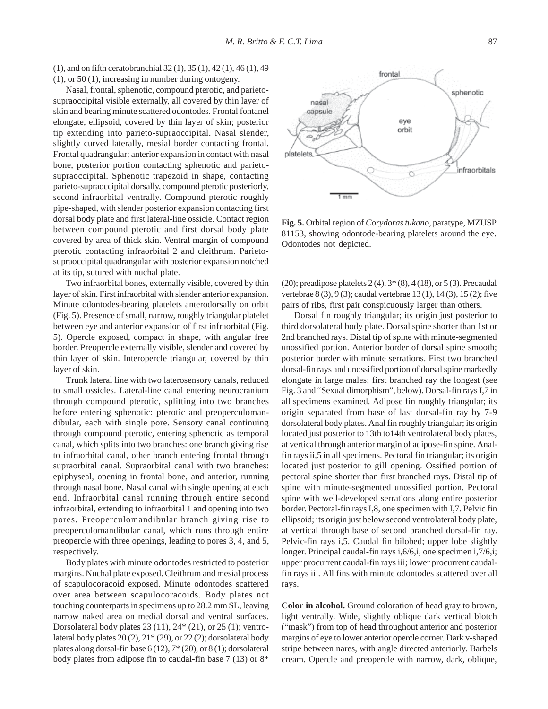nasal capsule

ò

(1), and on fifth ceratobranchial 32 (1), 35 (1), 42 (1), 46 (1), 49 (1), or 50 (1), increasing in number during ontogeny.

Nasal, frontal, sphenotic, compound pterotic, and parietosupraoccipital visible externally, all covered by thin layer of skin and bearing minute scattered odontodes. Frontal fontanel elongate, ellipsoid, covered by thin layer of skin; posterior tip extending into parieto-supraoccipital. Nasal slender, slightly curved laterally, mesial border contacting frontal. Frontal quadrangular; anterior expansion in contact with nasal bone, posterior portion contacting sphenotic and parietosupraoccipital. Sphenotic trapezoid in shape, contacting parieto-supraoccipital dorsally, compound pterotic posteriorly, second infraorbital ventrally. Compound pterotic roughly pipe-shaped, with slender posterior expansion contacting first dorsal body plate and first lateral-line ossicle. Contact region between compound pterotic and first dorsal body plate covered by area of thick skin. Ventral margin of compound pterotic contacting infraorbital 2 and cleithrum. Parietosupraoccipital quadrangular with posterior expansion notched at its tip, sutured with nuchal plate.

Two infraorbital bones, externally visible, covered by thin layer of skin. First infraorbital with slender anterior expansion. Minute odontodes-bearing platelets anterodorsally on orbit (Fig. 5). Presence of small, narrow, roughly triangular platelet between eye and anterior expansion of first infraorbital (Fig. 5). Opercle exposed, compact in shape, with angular free border. Preopercle externally visible, slender and covered by thin layer of skin. Interopercle triangular, covered by thin layer of skin.

Trunk lateral line with two laterosensory canals, reduced to small ossicles. Lateral-line canal entering neurocranium through compound pterotic, splitting into two branches before entering sphenotic: pterotic and preoperculomandibular, each with single pore. Sensory canal continuing through compound pterotic, entering sphenotic as temporal canal, which splits into two branches: one branch giving rise to infraorbital canal, other branch entering frontal through supraorbital canal. Supraorbital canal with two branches: epiphyseal, opening in frontal bone, and anterior, running through nasal bone. Nasal canal with single opening at each end. Infraorbital canal running through entire second infraorbital, extending to infraorbital 1 and opening into two pores. Preoperculomandibular branch giving rise to preoperculomandibular canal, which runs through entire preopercle with three openings, leading to pores 3, 4, and 5, respectively.

Body plates with minute odontodes restricted to posterior margins. Nuchal plate exposed. Cleithrum and mesial process of scapulocoracoid exposed. Minute odontodes scattered over area between scapulocoracoids. Body plates not touching counterparts in specimens up to 28.2 mm SL, leaving narrow naked area on medial dorsal and ventral surfaces. Dorsolateral body plates 23 (11), 24\* (21), or 25 (1); ventrolateral body plates  $20(2)$ ,  $21*(29)$ , or  $22(2)$ ; dorsolateral body plates along dorsal-fin base 6 (12), 7\* (20), or 8 (1); dorsolateral body plates from adipose fin to caudal-fin base 7 (13) or 8\*

![](_page_4_Figure_6.jpeg)

frontal

eye orbit

**Fig. 5.** Orbital region of *Corydoras tukano*, paratype, MZUSP 81153, showing odontode-bearing platelets around the eye. Odontodes not depicted.

(20); preadipose platelets 2 (4), 3\* (8), 4 (18), or 5 (3). Precaudal vertebrae 8 (3), 9 (3); caudal vertebrae 13 (1), 14 (3), 15 (2); five pairs of ribs, first pair conspicuously larger than others.

Dorsal fin roughly triangular; its origin just posterior to third dorsolateral body plate. Dorsal spine shorter than 1st or 2nd branched rays. Distal tip of spine with minute-segmented unossified portion. Anterior border of dorsal spine smooth; posterior border with minute serrations. First two branched dorsal-fin rays and unossified portion of dorsal spine markedly elongate in large males; first branched ray the longest (see Fig. 3 and "Sexual dimorphism", below). Dorsal-fin rays I,7 in all specimens examined. Adipose fin roughly triangular; its origin separated from base of last dorsal-fin ray by 7-9 dorsolateral body plates. Anal fin roughly triangular; its origin located just posterior to 13th to14th ventrolateral body plates, at vertical through anterior margin of adipose-fin spine. Analfin rays ii,5 in all specimens. Pectoral fin triangular; its origin located just posterior to gill opening. Ossified portion of pectoral spine shorter than first branched rays. Distal tip of spine with minute-segmented unossified portion. Pectoral spine with well-developed serrations along entire posterior border. Pectoral-fin rays I,8, one specimen with I,7. Pelvic fin ellipsoid; its origin just below second ventrolateral body plate, at vertical through base of second branched dorsal-fin ray. Pelvic-fin rays i,5. Caudal fin bilobed; upper lobe slightly longer. Principal caudal-fin rays i, 6/6, i, one specimen i, 7/6, i; upper procurrent caudal-fin rays iii; lower procurrent caudalfin rays iii. All fins with minute odontodes scattered over all rays.

**Color in alcohol.** Ground coloration of head gray to brown, light ventrally. Wide, slightly oblique dark vertical blotch ("mask") from top of head throughout anterior and posterior margins of eye to lower anterior opercle corner. Dark v-shaped stripe between nares, with angle directed anteriorly. Barbels cream. Opercle and preopercle with narrow, dark, oblique,

sphenotic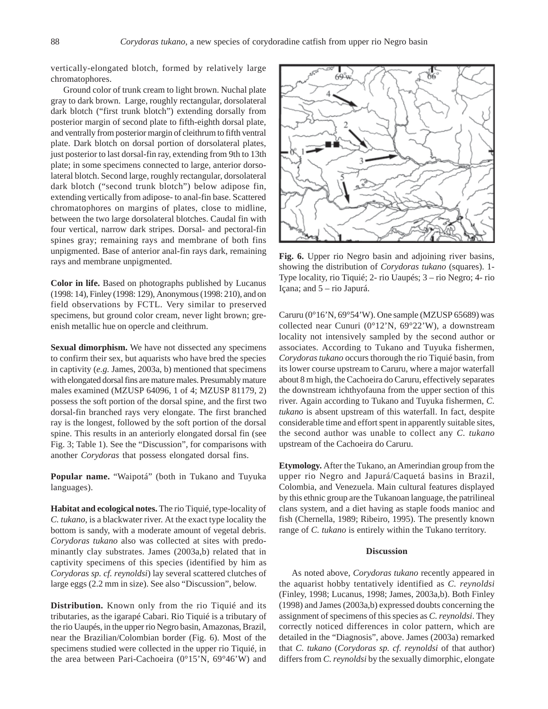vertically-elongated blotch, formed by relatively large chromatophores.

Ground color of trunk cream to light brown. Nuchal plate gray to dark brown. Large, roughly rectangular, dorsolateral dark blotch ("first trunk blotch") extending dorsally from posterior margin of second plate to fifth-eighth dorsal plate, and ventrally from posterior margin of cleithrum to fifth ventral plate. Dark blotch on dorsal portion of dorsolateral plates, just posterior to last dorsal-fin ray, extending from 9th to 13th plate; in some specimens connected to large, anterior dorsolateral blotch. Second large, roughly rectangular, dorsolateral dark blotch ("second trunk blotch") below adipose fin, extending vertically from adipose- to anal-fin base. Scattered chromatophores on margins of plates, close to midline, between the two large dorsolateral blotches. Caudal fin with four vertical, narrow dark stripes. Dorsal- and pectoral-fin spines gray; remaining rays and membrane of both fins unpigmented. Base of anterior anal-fin rays dark, remaining rays and membrane unpigmented.

**Color in life.** Based on photographs published by Lucanus (1998: 14), Finley (1998: 129), Anonymous (1998: 210), and on field observations by FCTL. Very similar to preserved specimens, but ground color cream, never light brown; greenish metallic hue on opercle and cleithrum.

**Sexual dimorphism.** We have not dissected any specimens to confirm their sex, but aquarists who have bred the species in captivity (*e.g.* James, 2003a, b) mentioned that specimens with elongated dorsal fins are mature males. Presumably mature males examined (MZUSP 64096, 1 of 4; MZUSP 81179, 2) possess the soft portion of the dorsal spine, and the first two dorsal-fin branched rays very elongate. The first branched ray is the longest, followed by the soft portion of the dorsal spine. This results in an anteriorly elongated dorsal fin (see Fig. 3; Table 1). See the "Discussion", for comparisons with another *Corydoras* that possess elongated dorsal fins.

**Popular name.** "Waipotá" (both in Tukano and Tuyuka languages).

**Habitat and ecological notes.** The rio Tiquié, type-locality of *C. tukano*, is a blackwater river. At the exact type locality the bottom is sandy, with a moderate amount of vegetal debris. *Corydoras tukano* also was collected at sites with predominantly clay substrates. James (2003a,b) related that in captivity specimens of this species (identified by him as *Corydoras sp. cf. reynoldsi*) lay several scattered clutches of large eggs (2.2 mm in size). See also "Discussion", below.

**Distribution.** Known only from the rio Tiquié and its tributaries, as the igarapé Cabari. Rio Tiquié is a tributary of the rio Uaupés, in the upper rio Negro basin, Amazonas, Brazil, near the Brazilian/Colombian border (Fig. 6). Most of the specimens studied were collected in the upper rio Tiquié, in the area between Pari-Cachoeira (0°15'N, 69°46'W) and

![](_page_5_Figure_9.jpeg)

**Fig. 6.** Upper rio Negro basin and adjoining river basins, showing the distribution of *Corydoras tukano* (squares). 1- Type locality, rio Tiquié; 2- rio Uaupés; 3 – rio Negro; 4- rio Içana; and 5 – rio Japurá.

Caruru (0°16'N, 69°54'W). One sample (MZUSP 65689) was collected near Cunuri (0°12'N, 69°22'W), a downstream locality not intensively sampled by the second author or associates. According to Tukano and Tuyuka fishermen, *Corydoras tukano* occurs thorough the rio Tiquié basin, from its lower course upstream to Caruru, where a major waterfall about 8 m high, the Cachoeira do Caruru, effectively separates the downstream ichthyofauna from the upper section of this river. Again according to Tukano and Tuyuka fishermen, *C. tukano* is absent upstream of this waterfall. In fact, despite considerable time and effort spent in apparently suitable sites, the second author was unable to collect any *C. tukano* upstream of the Cachoeira do Caruru.

**Etymology.** After the Tukano, an Amerindian group from the upper rio Negro and Japurá/Caquetá basins in Brazil, Colombia, and Venezuela. Main cultural features displayed by this ethnic group are the Tukanoan language, the patrilineal clans system, and a diet having as staple foods manioc and fish (Chernella, 1989; Ribeiro, 1995). The presently known range of *C. tukano* is entirely within the Tukano territory.

# **Discussion**

As noted above, *Corydoras tukano* recently appeared in the aquarist hobby tentatively identified as *C. reynoldsi* (Finley, 1998; Lucanus, 1998; James, 2003a,b). Both Finley (1998) and James (2003a,b) expressed doubts concerning the assignment of specimens of this species as *C. reynoldsi*. They correctly noticed differences in color pattern, which are detailed in the "Diagnosis", above. James (2003a) remarked that *C. tukano* (*Corydoras sp. cf. reynoldsi* of that author) differs from *C. reynoldsi* by the sexually dimorphic, elongate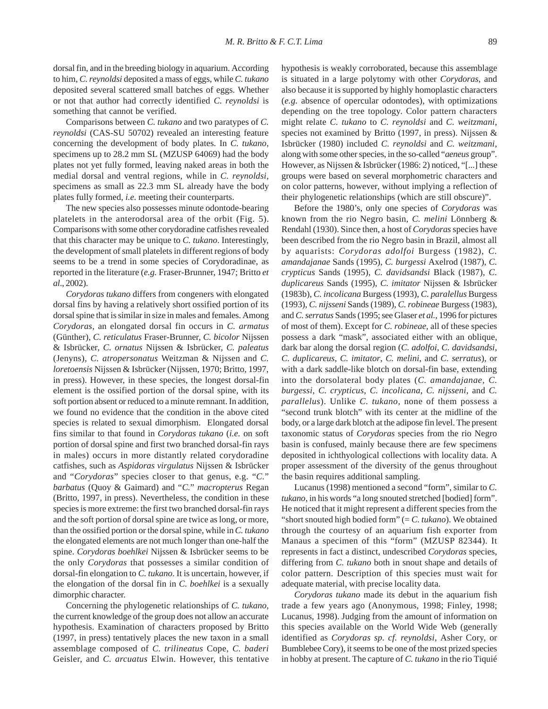dorsal fin, and in the breeding biology in aquarium. According to him, *C. reynoldsi* deposited a mass of eggs, while *C. tukano* deposited several scattered small batches of eggs. Whether or not that author had correctly identified *C. reynoldsi* is something that cannot be verified.

Comparisons between *C. tukano* and two paratypes of *C. reynoldsi* (CAS-SU 50702) revealed an interesting feature concerning the development of body plates. In *C. tukano*, specimens up to 28.2 mm SL (MZUSP 64069) had the body plates not yet fully formed, leaving naked areas in both the medial dorsal and ventral regions, while in *C. reynoldsi*, specimens as small as 22.3 mm SL already have the body plates fully formed, *i.e.* meeting their counterparts.

The new species also possesses minute odontode-bearing platelets in the anterodorsal area of the orbit (Fig. 5). Comparisons with some other corydoradine catfishes revealed that this character may be unique to *C. tukano*. Interestingly, the development of small platelets in different regions of body seems to be a trend in some species of Corydoradinae, as reported in the literature (*e.g.* Fraser-Brunner, 1947; Britto *et al*., 2002).

*Corydoras tukano* differs from congeners with elongated dorsal fins by having a relatively short ossified portion of its dorsal spine that is similar in size in males and females. Among *Corydoras*, an elongated dorsal fin occurs in *C. armatus* (Günther), *C. reticulatus* Fraser-Brunner, *C. bicolor* Nijssen & Isbrücker, *C. ornatus* Nijssen & Isbrücker, *C. paleatus* (Jenyns), *C. atropersonatus* Weitzman & Nijssen and *C. loretoensis* Nijssen & Isbrücker (Nijssen, 1970; Britto, 1997, in press). However, in these species, the longest dorsal-fin element is the ossified portion of the dorsal spine, with its soft portion absent or reduced to a minute remnant. In addition, we found no evidence that the condition in the above cited species is related to sexual dimorphism. Elongated dorsal fins similar to that found in *Corydoras tukano* (*i.e.* on soft portion of dorsal spine and first two branched dorsal-fin rays in males) occurs in more distantly related corydoradine catfishes, such as *Aspidoras virgulatus* Nijssen & Isbrücker and "*Corydoras*" species closer to that genus, e.g. "*C.*" *barbatus* (Quoy & Gaimard) and "*C.*" *macropterus* Regan (Britto, 1997, in press). Nevertheless, the condition in these species is more extreme: the first two branched dorsal-fin rays and the soft portion of dorsal spine are twice as long, or more, than the ossified portion or the dorsal spine, while in *C. tukano* the elongated elements are not much longer than one-half the spine. *Corydoras boehlkei* Nijssen & Isbrücker seems to be the only *Corydoras* that possesses a similar condition of dorsal-fin elongation to *C. tukano*. It is uncertain, however, if the elongation of the dorsal fin in *C. boehlkei* is a sexually dimorphic character.

Concerning the phylogenetic relationships of *C. tukano*, the current knowledge of the group does not allow an accurate hypothesis. Examination of characters proposed by Britto (1997, in press) tentatively places the new taxon in a small assemblage composed of *C. trilineatus* Cope, *C. baderi* Geisler, and *C. arcuatus* Elwin. However, this tentative

hypothesis is weakly corroborated, because this assemblage is situated in a large polytomy with other *Corydoras*, and also because it is supported by highly homoplastic characters (*e.g.* absence of opercular odontodes), with optimizations depending on the tree topology. Color pattern characters might relate *C. tukano* to *C. reynoldsi* and *C. weitzmani*, species not examined by Britto (1997, in press). Nijssen & Isbrücker (1980) included *C. reynoldsi* and *C. weitzmani*, along with some other species, in the so-called "*aeneus* group". However, as Nijssen & Isbrücker (1986: 2) noticed, "[...] these groups were based on several morphometric characters and on color patterns, however, without implying a reflection of their phylogenetic relationships (which are still obscure)".

Before the 1980's, only one species of *Corydoras* was known from the rio Negro basin, *C. melini* Lönnberg & Rendahl (1930). Since then, a host of *Corydoras* species have been described from the rio Negro basin in Brazil, almost all by aquarists: *Corydoras adolfoi* Burgess (1982), *C. amandajanae* Sands (1995), *C. burgessi* Axelrod (1987), *C. crypticus* Sands (1995), *C. davidsandsi* Black (1987), *C. duplicareus* Sands (1995), *C. imitator* Nijssen & Isbrücker (1983b), *C. incolicana* Burgess (1993), *C. paralellus* Burgess (1993), *C. nijsseni* Sands (1989), *C. robineae* Burgess (1983), and *C. serratus* Sands (1995; see Glaser *et al.*, 1996 for pictures of most of them). Except for *C. robineae*, all of these species possess a dark "mask", associated either with an oblique, dark bar along the dorsal region (*C. adolfoi*, *C. davidsandsi*, *C. duplicareus*, *C. imitator*, *C. melini*, and *C. serratus*), or with a dark saddle-like blotch on dorsal-fin base, extending into the dorsolateral body plates (*C. amandajanae*, *C. burgessi*, *C. crypticus*, *C. incolicana*, *C. nijsseni*, and *C. parallelus*). Unlike *C. tukano*, none of them possess a "second trunk blotch" with its center at the midline of the body, or a large dark blotch at the adipose fin level. The present taxonomic status of *Corydoras* species from the rio Negro basin is confused, mainly because there are few specimens deposited in ichthyological collections with locality data. A proper assessment of the diversity of the genus throughout the basin requires additional sampling.

Lucanus (1998) mentioned a second "form", similar to *C. tukano*, in his words "a long snouted stretched [bodied] form". He noticed that it might represent a different species from the "short snouted high bodied form" (= *C. tukano*). We obtained through the courtesy of an aquarium fish exporter from Manaus a specimen of this "form" (MZUSP 82344). It represents in fact a distinct, undescribed *Corydoras* species, differing from *C. tukano* both in snout shape and details of color pattern. Description of this species must wait for adequate material, with precise locality data.

*Corydoras tukano* made its debut in the aquarium fish trade a few years ago (Anonymous, 1998; Finley, 1998; Lucanus, 1998). Judging from the amount of information on this species available on the World Wide Web (generally identified as *Corydoras sp. cf. reynoldsi*, Asher Cory, or Bumblebee Cory), it seems to be one of the most prized species in hobby at present. The capture of *C. tukano* in the rio Tiquié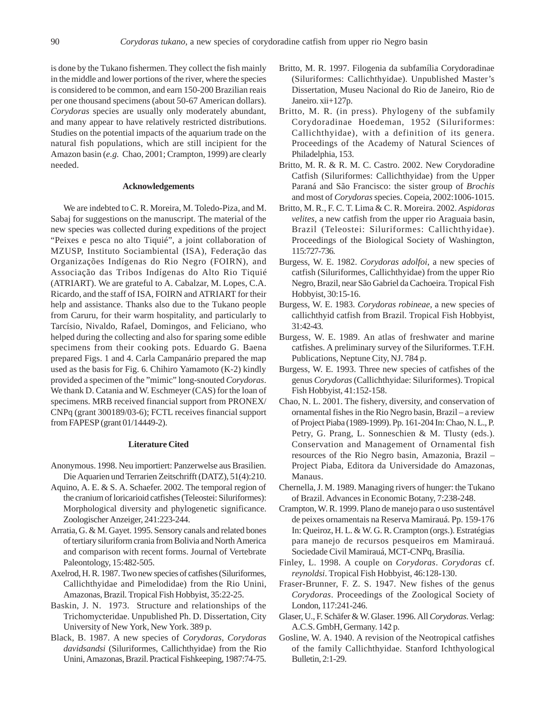is done by the Tukano fishermen. They collect the fish mainly in the middle and lower portions of the river, where the species is considered to be common, and earn 150-200 Brazilian reais per one thousand specimens (about 50-67 American dollars). *Corydoras* species are usually only moderately abundant, and many appear to have relatively restricted distributions. Studies on the potential impacts of the aquarium trade on the natural fish populations, which are still incipient for the Amazon basin (*e.g.* Chao, 2001; Crampton, 1999) are clearly needed.

#### **Acknowledgements**

We are indebted to C. R. Moreira, M. Toledo-Piza, and M. Sabaj for suggestions on the manuscript. The material of the new species was collected during expeditions of the project "Peixes e pesca no alto Tiquié", a joint collaboration of MZUSP, Instituto Sociambiental (ISA), Federação das Organizações Indígenas do Rio Negro (FOIRN), and Associação das Tribos Indígenas do Alto Rio Tiquié (ATRIART). We are grateful to A. Cabalzar, M. Lopes, C.A. Ricardo, and the staff of ISA, FOIRN and ATRIART for their help and assistance. Thanks also due to the Tukano people from Caruru, for their warm hospitality, and particularly to Tarcísio, Nivaldo, Rafael, Domingos, and Feliciano, who helped during the collecting and also for sparing some edible specimens from their cooking pots. Eduardo G. Baena prepared Figs. 1 and 4. Carla Campanário prepared the map used as the basis for Fig. 6. Chihiro Yamamoto (K-2) kindly provided a specimen of the "mimic" long-snouted *Corydoras*. We thank D. Catania and W. Eschmeyer (CAS) for the loan of specimens. MRB received financial support from PRONEX/ CNPq (grant 300189/03-6); FCTL receives financial support from FAPESP (grant 01/14449-2).

## **Literature Cited**

- Anonymous. 1998. Neu importiert: Panzerwelse aus Brasilien. Die Aquarien und Terrarien Zeitschrifft (DATZ), 51(4):210.
- Aquino, A. E. & S. A. Schaefer. 2002. The temporal region of the cranium of loricarioid catfishes (Teleostei: Siluriformes): Morphological diversity and phylogenetic significance. Zoologischer Anzeiger, 241:223-244.
- Arratia, G. & M. Gayet. 1995. Sensory canals and related bones of tertiary siluriform crania from Bolivia and North America and comparison with recent forms. Journal of Vertebrate Paleontology, 15:482-505.
- Axelrod, H. R. 1987. Two new species of catfishes (Siluriformes, Callichthyidae and Pimelodidae) from the Rio Unini, Amazonas, Brazil. Tropical Fish Hobbyist, 35:22-25.
- Baskin, J. N. 1973. Structure and relationships of the Trichomycteridae. Unpublished Ph. D. Dissertation, City University of New York, New York. 389 p.
- Black, B. 1987. A new species of *Corydoras*, *Corydoras davidsandsi* (Siluriformes, Callichthyidae) from the Rio Unini, Amazonas, Brazil. Practical Fishkeeping, 1987:74-75.
- Britto, M. R. 1997. Filogenia da subfamília Corydoradinae (Siluriformes: Callichthyidae). Unpublished Master's Dissertation, Museu Nacional do Rio de Janeiro, Rio de Janeiro. xii+127p.
- Britto, M. R. (in press). Phylogeny of the subfamily Corydoradinae Hoedeman, 1952 (Siluriformes: Callichthyidae), with a definition of its genera. Proceedings of the Academy of Natural Sciences of Philadelphia, 153.
- Britto, M. R. & R. M. C. Castro. 2002. New Corydoradine Catfish (Siluriformes: Callichthyidae) from the Upper Paraná and São Francisco: the sister group of *Brochis* and most of *Corydoras* species. Copeia, 2002:1006-1015.
- Britto, M. R., F. C. T. Lima & C. R. Moreira. 2002. *Aspidoras velites*, a new catfish from the upper rio Araguaia basin, Brazil (Teleostei: Siluriformes: Callichthyidae). Proceedings of the Biological Society of Washington, 115:727-736.
- Burgess, W. E. 1982. *Corydoras adolfoi*, a new species of catfish (Siluriformes, Callichthyidae) from the upper Rio Negro, Brazil, near São Gabriel da Cachoeira. Tropical Fish Hobbyist, 30:15-16.
- Burgess, W. E. 1983. *Corydoras robineae*, a new species of callichthyid catfish from Brazil. Tropical Fish Hobbyist, 31:42-43.
- Burgess, W. E. 1989. An atlas of freshwater and marine catfishes. A preliminary survey of the Siluriformes. T.F.H. Publications, Neptune City, NJ. 784 p.
- Burgess, W. E. 1993. Three new species of catfishes of the genus *Corydoras* (Callichthyidae: Siluriformes). Tropical Fish Hobbyist, 41:152-158.
- Chao, N. L. 2001. The fishery, diversity, and conservation of ornamental fishes in the Rio Negro basin, Brazil – a review of Project Piaba (1989-1999). Pp. 161-204 In: Chao, N. L., P. Petry, G. Prang, L. Sonneschien & M. Tlusty (eds.). Conservation and Management of Ornamental fish resources of the Rio Negro basin, Amazonia, Brazil – Project Piaba, Editora da Universidade do Amazonas, Manaus.
- Chernella, J. M. 1989. Managing rivers of hunger: the Tukano of Brazil. Advances in Economic Botany, 7:238-248.
- Crampton, W. R. 1999. Plano de manejo para o uso sustentável de peixes ornamentais na Reserva Mamirauá. Pp. 159-176 In: Queiroz, H. L. & W. G. R. Crampton (orgs.). Estratégias para manejo de recursos pesqueiros em Mamirauá. Sociedade Civil Mamirauá, MCT-CNPq, Brasília.
- Finley, L. 1998. A couple on *Corydoras*. *Corydoras* cf. *reynoldsi*. Tropical Fish Hobbyist, 46:128-130.
- Fraser-Brunner, F. Z. S. 1947. New fishes of the genus *Corydoras*. Proceedings of the Zoological Society of London, 117:241-246.
- Glaser, U., F. Schäfer & W. Glaser. 1996. All *Corydoras*. Verlag: A.C.S. GmbH, Germany. 142 p.
- Gosline, W. A. 1940. A revision of the Neotropical catfishes of the family Callichthyidae. Stanford Ichthyological Bulletin, 2:1-29.